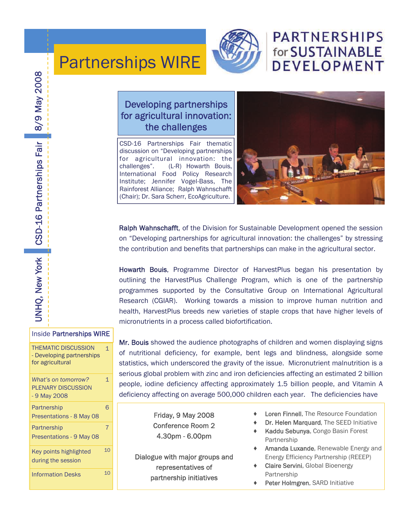

# **PARTNERSHIPS** for SUSTAINABLE **DEVELOPMENT**

## Developing partnerships for agricultural innovation: the challenges

Partnerships WIRE

CSD-16 Partnerships Fair thematic discussion on "Developing partnerships for agricultural innovation: the challenges". (L-R) Howarth Bouis, International Food Policy Research Institute; Jennifer Vogel-Bass, The Rainforest Alliance; Ralph Wahnschafft (Chair); Dr. Sara Scherr, EcoAgriculture.



Ralph Wahnschafft, of the Division for Sustainable Development opened the session on "Developing partnerships for agricultural innovation: the challenges" by stressing the contribution and benefits that partnerships can make in the agricultural sector.

Howarth Bouis, Programme Director of HarvestPlus began his presentation by outlining the HarvestPlus Challenge Program, which is one of the partnership programmes supported by the Consultative Group on International Agricultural Research (CGIAR). Working towards a mission to improve human nutrition and health, HarvestPlus breeds new varieties of staple crops that have higher levels of micronutrients in a process called biofortification.

Mr. Bouis showed the audience photographs of children and women displaying signs of nutritional deficiency, for example, bent legs and blindness, alongside some statistics, which underscored the gravity of the issue. Micronutrient malnutrition is a serious global problem with zinc and iron deficiencies affecting an estimated 2 billion people, iodine deficiency affecting approximately 1.5 billion people, and Vitamin A deficiency affecting on average 500,000 children each year. The deficiencies have

> Friday, 9 May 2008 Conference Room 2 4.30pm - 6.00pm

Dialogue with major groups and representatives of partnership initiatives

- **Loren Finnell.** The Resource Foundation
- Dr. Helen Marquard, The SEED Initiative
- Kaddu Sebunya, Congo Basin Forest Partnership
- Amanda Luxande, Renewable Energy and Energy Efficiency Partnership (REEEP)
- Claire Servini, Global Bioenergy Partnership
- ♦ Peter Holmgren, SARD Initiative

CSD-16 Partnerships Fair 8/9 May 2008 UNHQ, New York CSD-16 Partnerships Fair 8/9 May 2008 UNHQ, New York

| <b>Inside Partnerships WIRE</b>                                             |                |
|-----------------------------------------------------------------------------|----------------|
| <b>THEMATIC DISCUSSION</b><br>- Developing partnerships<br>for agricultural | $\mathbf 1$    |
| What's on tomorrow?<br><b>PLENARY DISCUSSION</b><br>- 9 May 2008            | $\mathbf 1$    |
| Partnership<br>Presentations - 8 May 08                                     | 6              |
| Partnership<br>Presentations - 9 May 08                                     | $\overline{7}$ |
| Key points highlighted<br>during the session                                | 10             |
| <b>Information Desks</b>                                                    | 1 <sub>0</sub> |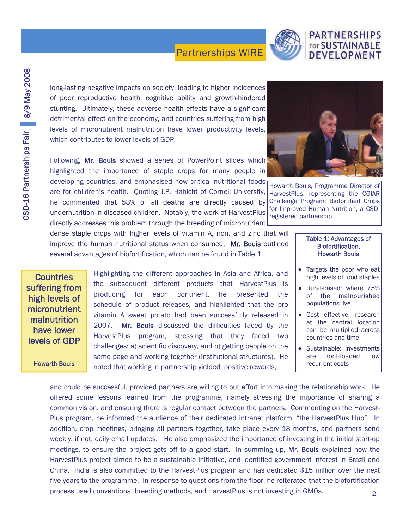

## **PARTNERSHIPS** for SUSTAINABLE DEVELOPMENT

long-lasting negative impacts on society, leading to higher incidences of poor reproductive health, cognitive ability and growth-hindered stunting. Ultimately, these adverse health effects have a significant detrimental effect on the economy, and countries suffering from high levels of micronutrient malnutrition have lower productivity levels, which contributes to lower levels of GDP.

Following, Mr. Bouis showed a series of PowerPoint slides which highlighted the importance of staple crops for many people in developing countries, and emphasised how critical nutritional foods are for children's health. Quoting J.P. Habicht of Cornell University, HarvestPlus, representing the CGIAR he commented that 53% of all deaths are directly caused by Challenge Program: Biofortified Crops undernutrition in diseased children. Notably, the work of HarvestPlus directly addresses this problem through the breeding of micronutrient



Howarth Bouis, Programme Director of for Improved Human Nutrition, a CSDregistered partnership.

## dense staple crops with higher levels of vitamin A, iron, and zinc that will improve the human nutritional status when consumed. Mr. Bouis outlined several advantages of biofortification, which can be found in Table 1.

**Countries** suffering from high levels of micronutrient malnutrition have lower levels of GDP

## Howarth Bouis

Highlighting the different approaches in Asia and Africa, and the subsequent different products that HarvestPlus is producing for each continent, he presented the schedule of product releases, and highlighted that the pro vitamin A sweet potato had been successfully released in 2007. Mr. Bouis discussed the difficulties faced by the HarvestPlus program, stressing that they faced two challenges: a) scientific discovery, and b) getting people on the same page and working together (institutional structures). He noted that working in partnership yielded positive rewards,

## Table 1: Advantages of Biofortification, Howarth Bouis

- ♦ Targets the poor who eat high levels of food staples
- ♦ Rural-based: where 75% of the malnourished populations live
- ♦ Cost effective: research at the central location can be multiplied across countries and time
- ♦ Sustainable: investments are front-loaded, low recurrent costs

and could be successful, provided partners are willing to put effort into making the relationship work. He offered some lessons learned from the programme, namely stressing the importance of sharing a common vision, and ensuring there is regular contact between the partners. Commenting on the Harvest-Plus program, he informed the audience of their dedicated intranet platform, "the HarvestPlus Hub". In addition, crop meetings, bringing all partners together, take place every 18 months, and partners send weekly, if not, daily email updates. He also emphasized the importance of investing in the initial start-up meetings, to ensure the project gets off to a good start. In summing up, Mr. Bouis explained how the HarvestPlus project aimed to be a sustainable initiative, and identified government interest in Brazil and China. India is also committed to the HarvestPlus program and has dedicated \$15 million over the next five years to the programme. In response to questions from the floor, he reiterated that the biofortification process used conventional breeding methods, and HarvestPlus is not investing in GMOs.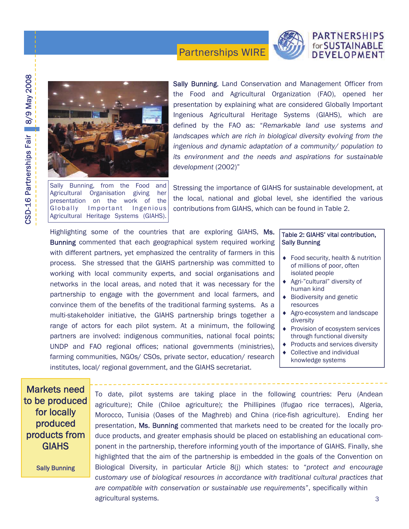

# CSD-16 Partnerships Fair 8/9 May 2008 CSD-16 Partnerships Fair 8/9 May 2008



Agricultural Heritage Systems (GIAHS).

Sally Bunning, from the Food and Agricultural Organisation giving her presentation on the work of the Globally Important Ingenious

Sally Bunning, Land Conservation and Management Officer from the Food and Agricultural Organization (FAO), opened her presentation by explaining what are considered Globally Important Ingenious Agricultural Heritage Systems (GIAHS), which are defined by the FAO as: "*Remarkable land use systems and landscapes which are rich in biological diversity evolving from the ingenious and dynamic adaptation of a community/ population to its environment and the needs and aspirations for sustainable development* (2002)"

Stressing the importance of GIAHS for sustainable development, at the local, national and global level, she identified the various contributions from GIAHS, which can be found in Table 2.

Highlighting some of the countries that are exploring GIAHS, Ms. Bunning commented that each geographical system required working with different partners, yet emphasized the centrality of farmers in this process. She stressed that the GIAHS partnership was committed to working with local community experts, and social organisations and networks in the local areas, and noted that it was necessary for the partnership to engage with the government and local farmers, and convince them of the benefits of the traditional farming systems. As a multi-stakeholder initiative, the GIAHS partnership brings together a range of actors for each pilot system. At a minimum, the following partners are involved: indigenous communities, national focal points; UNDP and FAO regional offices; national governments (ministries), farming communities, NGOs/ CSOs, private sector, education/ research institutes, local/ regional government, and the GIAHS secretariat.

## Table 2: GIAHS' vital contribution, Sally Bunning

- ♦ Food security, health & nutrition of millions of poor, often isolated people
- ♦ Agri-"cultural" diversity of human kind
- ♦ Biodiversity and genetic resources
- ♦ Agro-ecosystem and landscape diversity
- ♦ Provision of ecosystem services through functional diversity
- ♦ Products and services diversity
- ♦ Collective and individual knowledge systems

Markets need to be produced for locally produced products from GIAHS

Sally Bunning

To date, pilot systems are taking place in the following countries: Peru (Andean agriculture); Chile (Chiloe agriculture); the Phillipines (Ifugao rice terraces), Algeria, Morocco, Tunisia (Oases of the Maghreb) and China (rice-fish agriculture). Ending her presentation, Ms. Bunning commented that markets need to be created for the locally produce products, and greater emphasis should be placed on establishing an educational component in the partnership, therefore informing youth of the importance of GIAHS. Finally, she highlighted that the aim of the partnership is embedded in the goals of the Convention on Biological Diversity, in particular Article 8(j) which states: to "*protect and encourage customary use of biological resources in accordance with traditional cultural practices that are compatible with conservation or sustainable use requirements*", specifically within agricultural systems. 3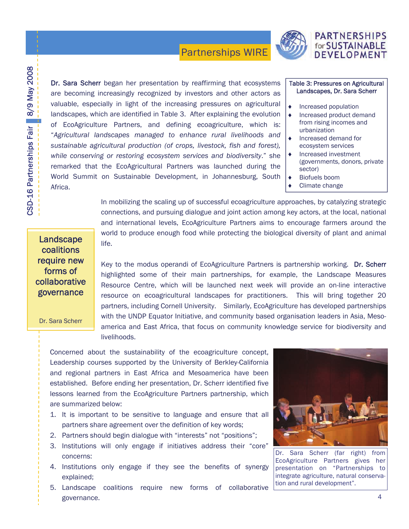

## **PARTNERSHIPS** for SUSTAINABLE DEVELOPMENT

Dr. Sara Scherr began her presentation by reaffirming that ecosystems are becoming increasingly recognized by investors and other actors as valuable, especially in light of the increasing pressures on agricultural landscapes, which are identified in Table 3. After explaining the evolution of EcoAgriculture Partners, and defining ecoagriculture, which is: "*Agricultural landscapes managed to enhance rural livelihoods and sustainable agricultural production (of crops, livestock, fish and forest), while conserving or restoring ecosystem services and biodiversity*." she remarked that the EcoAgricultural Partners was launched during the World Summit on Sustainable Development, in Johannesburg, South Africa.

## Table 3: Pressures on Agricultural Landscapes, Dr. Sara Scherr

- Increased population
- Increased product demand from rising incomes and urbanization
- ♦ Increased demand for ecosystem services
- Increased investment (governments, donors, private sector)
- ♦ Biofuels boom
	- Climate change

In mobilizing the scaling up of successful ecoagriculture approaches, by catalyzing strategic connections, and pursuing dialogue and joint action among key actors, at the local, national and international levels, EcoAgriculture Partners aims to encourage farmers around the world to produce enough food while protecting the biological diversity of plant and animal life.

## **Landscape** coalitions require new forms of collaborative governance

Dr. Sara Scherr

Key to the modus operandi of EcoAgriculture Partners is partnership working. Dr. Scherr highlighted some of their main partnerships, for example, the Landscape Measures Resource Centre, which will be launched next week will provide an on-line interactive resource on ecoagricultural landscapes for practitioners. This will bring together 20 partners, including Cornell University. Similarly, EcoAgriculture has developed partnerships with the UNDP Equator Initiative, and community based organisation leaders in Asia, Mesoamerica and East Africa, that focus on community knowledge service for biodiversity and livelihoods.

Concerned about the sustainability of the ecoagriculture concept, Leadership courses supported by the University of Berkley-California and regional partners in East Africa and Mesoamerica have been established. Before ending her presentation, Dr. Scherr identified five lessons learned from the EcoAgriculture Partners partnership, which are summarized below:

- 1. It is important to be sensitive to language and ensure that all partners share agreement over the definition of key words;
- 2. Partners should begin dialogue with "interests" not "positions";
- 3. Institutions will only engage if initiatives address their "core" concerns:
- 4. Institutions only engage if they see the benefits of synergy explained;
- 5. Landscape coalitions require new forms of collaborative governance.  $\sim$  4



Dr. Sara Scherr (far right) from EcoAgriculture Partners gives her presentation on "Partnerships to integrate agriculture, natural conservation and rural development".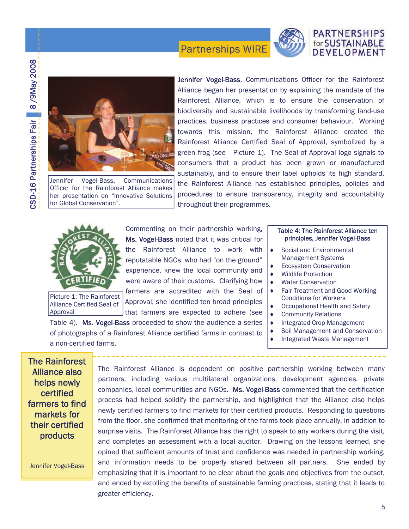

## **PARTNERSHIPS** for SUSTAINABLE DEVELOPMENT



Jennifer Vogel-Bass, Communications Officer for the Rainforest Alliance makes her presentation on "Innovative Solutions for Global Conservation".

Jennifer Vogel-Bass, Communications Officer for the Rainforest Alliance began her presentation by explaining the mandate of the Rainforest Alliance, which is to ensure the conservation of biodiversity and sustainable livelihoods by transforming land-use practices, business practices and consumer behaviour. Working towards this mission, the Rainforest Alliance created the Rainforest Alliance Certified Seal of Approval, symbolized by a green frog (see Picture 1). The Seal of Approval logo signals to consumers that a product has been grown or manufactured sustainably, and to ensure their label upholds its high standard, the Rainforest Alliance has established principles, policies and procedures to ensure transparency, integrity and accountability throughout their programmes.



reputatable NGOs, who had "on the ground" experience, knew the local community and were aware of their customs. Clarifying how farmers are accredited with the Seal of Approval, she identified ten broad principles that farmers are expected to adhere (see Picture 1: The Rainforest Alliance Certified Seal of

Commenting on their partnership working, Ms. Vogel-Bass noted that it was critical for the Rainforest Alliance to work with

Table 4). Ms. Vogel-Bass proceeded to show the audience a series of photographs of a Rainforest Alliance certified farms in contrast to a non-certified farms.

## Table 4: The Rainforest Alliance ten principles, Jennifer Vogel-Bass

- ♦ Social and Environmental Management Systems
- **Ecosystem Conservation**
- **Wildlife Protection**
- **Water Conservation**
- ♦ Fair Treatment and Good Working Conditions for Workers
- Occupational Health and Safety
- Community Relations
- ♦ Integrated Crop Management
- Soil Management and Conservation
- Integrated Waste Management

The Rainforest Alliance also helps newly certified farmers to find markets for their certified products

Approval

Jennifer Vogel-Bass

The Rainforest Alliance is dependent on positive partnership working between many partners, including various multilateral organizations, development agencies, private companies, local communities and NGOs. Ms. Vogel-Bass commented that the certification process had helped solidify the partnership, and highlighted that the Alliance also helps newly certified farmers to find markets for their certified products. Responding to questions from the floor, she confirmed that monitoring of the farms took place annually, in addition to surprise visits. The Rainforest Alliance has the right to speak to any workers during the visit, and completes an assessment with a local auditor. Drawing on the lessons learned, she opined that sufficient amounts of trust and confidence was needed in partnership working, and information needs to be properly shared between all partners. She ended by emphasizing that it is important to be clear about the goals and objectives from the outset, and ended by extolling the benefits of sustainable farming practices, stating that it leads to greater efficiency.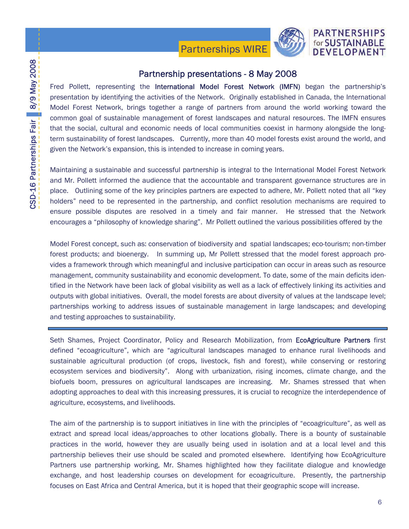

## Partnership presentations - 8 May 2008

Fred Pollett, representing the International Model Forest Network (IMFN) began the partnership's presentation by identifying the activities of the Network. Originally established in Canada, the International Model Forest Network, brings together a range of partners from around the world working toward the common goal of sustainable management of forest landscapes and natural resources. The IMFN ensures that the social, cultural and economic needs of local communities coexist in harmony alongside the longterm sustainability of forest landscapes. Currently, more than 40 model forests exist around the world, and given the Network's expansion, this is intended to increase in coming years.

Maintaining a sustainable and successful partnership is integral to the International Model Forest Network and Mr. Pollett informed the audience that the accountable and transparent governance structures are in place. Outlining some of the key principles partners are expected to adhere, Mr. Pollett noted that all "key holders" need to be represented in the partnership, and conflict resolution mechanisms are required to ensure possible disputes are resolved in a timely and fair manner. He stressed that the Network encourages a "philosophy of knowledge sharing". Mr Pollett outlined the various possibilities offered by the

Model Forest concept, such as: conservation of biodiversity and spatial landscapes; eco-tourism; non-timber forest products; and bioenergy. In summing up, Mr Pollett stressed that the model forest approach provides a framework through which meaningful and inclusive participation can occur in areas such as resource management, community sustainability and economic development. To date, some of the main deficits identified in the Network have been lack of global visibility as well as a lack of effectively linking its activities and outputs with global initiatives. Overall, the model forests are about diversity of values at the landscape level; partnerships working to address issues of sustainable management in large landscapes; and developing and testing approaches to sustainability.

Seth Shames, Project Coordinator, Policy and Research Mobilization, from **EcoAgriculture Partners** first defined "ecoagriculture", which are "agricultural landscapes managed to enhance rural livelihoods and sustainable agricultural production (of crops, livestock, fish and forest), while conserving or restoring ecosystem services and biodiversity". Along with urbanization, rising incomes, climate change, and the biofuels boom, pressures on agricultural landscapes are increasing. Mr. Shames stressed that when adopting approaches to deal with this increasing pressures, it is crucial to recognize the interdependence of agriculture, ecosystems, and livelihoods.

The aim of the partnership is to support initiatives in line with the principles of "ecoagriculture", as well as extract and spread local ideas/approaches to other locations globally. There is a bounty of sustainable practices in the world, however they are usually being used in isolation and at a local level and this partnership believes their use should be scaled and promoted elsewhere. Identifying how EcoAgriculture Partners use partnership working, Mr. Shames highlighted how they facilitate dialogue and knowledge exchange, and host leadership courses on development for ecoagriculture. Presently, the partnership focuses on East Africa and Central America, but it is hoped that their geographic scope will increase.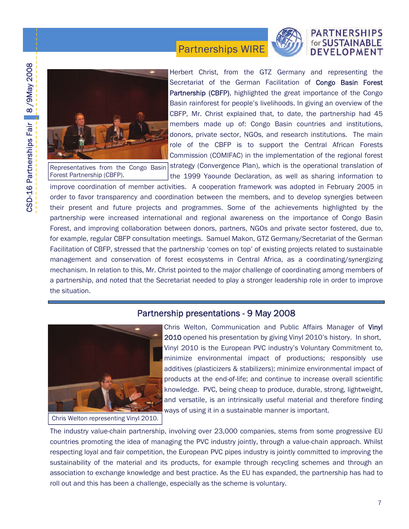## **PARTNERSHIPS** for SUSTAINABLE **DEVELOPMENT**



Representatives from the Congo Basin Forest Partnership (CBFP).

Herbert Christ, from the GTZ Germany and representing the Secretariat of the German Facilitation of **Congo Basin Forest** Partnership (CBFP), highlighted the great importance of the Congo Basin rainforest for people's livelihoods. In giving an overview of the CBFP, Mr. Christ explained that, to date, the partnership had 45 members made up of: Congo Basin countries and institutions, donors, private sector, NGOs, and research institutions. The main role of the CBFP is to support the Central African Forests Commission (COMIFAC) in the implementation of the regional forest

strategy (Convergence Plan), which is the operational translation of the 1999 Yaounde Declaration, as well as sharing information to

improve coordination of member activities. A cooperation framework was adopted in February 2005 in order to favor transparency and coordination between the members, and to develop synergies between their present and future projects and programmes. Some of the achievements highlighted by the partnership were increased international and regional awareness on the importance of Congo Basin Forest, and improving collaboration between donors, partners, NGOs and private sector fostered, due to, for example, regular CBFP consultation meetings. Samuel Makon, GTZ Germany/Secretariat of the German Facilitation of CBFP, stressed that the partnership 'comes on top' of existing projects related to sustainable management and conservation of forest ecosystems in Central Africa, as a coordinating/synergizing mechanism. In relation to this, Mr. Christ pointed to the major challenge of coordinating among members of a partnership, and noted that the Secretariat needed to play a stronger leadership role in order to improve the situation.

Partnerships WIRE

## Partnership presentations - 9 May 2008



Chris Welton representing Vinyl 2010.

Chris Welton, Communication and Public Affairs Manager of Vinyl 2010 opened his presentation by giving Vinyl 2010's history. In short, Vinyl 2010 is the European PVC industry's Voluntary Commitment to, minimize environmental impact of productions; responsibly use additives (plasticizers & stabilizers); minimize environmental impact of products at the end-of-life; and continue to increase overall scientific knowledge. PVC, being cheap to produce, durable, strong, lightweight, and versatile, is an intrinsically useful material and therefore finding ways of using it in a sustainable manner is important.

The industry value-chain partnership, involving over 23,000 companies, stems from some progressive EU countries promoting the idea of managing the PVC industry jointly, through a value-chain approach. Whilst respecting loyal and fair competition, the European PVC pipes industry is jointly committed to improving the sustainability of the material and its products, for example through recycling schemes and through an association to exchange knowledge and best practice. As the EU has expanded, the partnership has had to roll out and this has been a challenge, especially as the scheme is voluntary.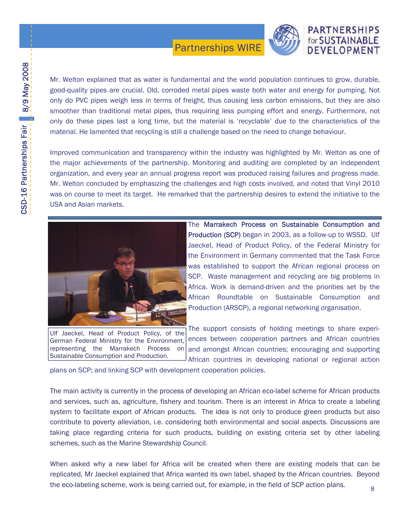

## **PARTNERSHIPS** for SUSTAINABLE DEVELOPMENT

Mr. Welton explained that as water is fundamental and the world population continues to grow, durable, good-quality pipes are crucial. Old, corroded metal pipes waste both water and energy for pumping. Not only do PVC pipes weigh less in terms of freight, thus causing less carbon emissions, but they are also smoother than traditional metal pipes, thus requiring less pumping effort and energy. Furthermore, not only do these pipes last a long time, but the material is 'recyclable' due to the characteristics of the material. He lamented that recycling is still a challenge based on the need to change behaviour.

Improved communication and transparency within the industry was highlighted by Mr. Welton as one of the major achievements of the partnership. Monitoring and auditing are completed by an independent organization, and every year an annual progress report was produced raising failures and progress made. Mr. Welton concluded by emphasizing the challenges and high costs involved, and noted that Vinyl 2010 was on course to meet its target. He remarked that the partnership desires to extend the initiative to the USA and Asian markets.



Ulf Jaeckel, Head of Product Policy, of the German Federal Ministry for the Environment, representing the Marrakech Process on Sustainable Consumption and Production.

The Marrakech Process on Sustainable Consumption and Production (SCP) began in 2003, as a follow-up to WSSD. Ulf Jaeckel, Head of Product Policy, of the Federal Ministry for the Environment in Germany commented that the Task Force was established to support the African regional process on SCP. Waste management and recycling are big problems in Africa. Work is demand-driven and the priorities set by the African Roundtable on Sustainable Consumption and Production (ARSCP), a regional networking organisation.

The support consists of holding meetings to share experiences between cooperation partners and African countries and amongst African countries; encouraging and supporting African countries in developing national or regional action

plans on SCP; and linking SCP with development cooperation policies.

The main activity is currently in the process of developing an African eco-label scheme for African products and services, such as, agriculture, fishery and tourism. There is an interest in Africa to create a labeling system to facilitate export of African products. The idea is not only to produce green products but also contribute to poverty alleviation, i.e. considering both environmental and social aspects. Discussions are taking place regarding criteria for such products, building on existing criteria set by other labeling schemes, such as the Marine Stewardship Council.

When asked why a new label for Africa will be created when there are existing models that can be replicated, Mr Jaeckel explained that Africa wanted its own label, shaped by the African countries. Beyond the eco-labeling scheme, work is being carried out, for example, in the field of SCP action plans. 8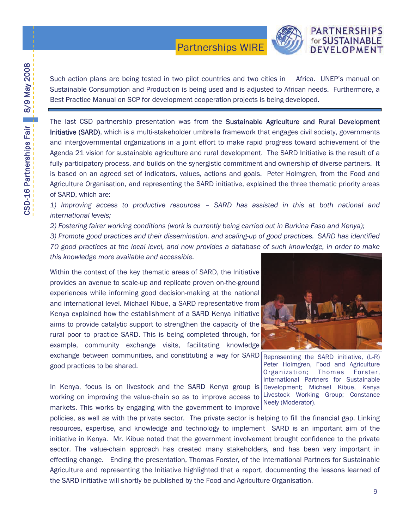

Such action plans are being tested in two pilot countries and two cities in Africa. UNEP's manual on Sustainable Consumption and Production is being used and is adjusted to African needs. Furthermore, a Best Practice Manual on SCP for development cooperation projects is being developed.

The last CSD partnership presentation was from the Sustainable Agriculture and Rural Development Initiative (SARD), which is a multi-stakeholder umbrella framework that engages civil society, governments and intergovernmental organizations in a joint effort to make rapid progress toward achievement of the Agenda 21 vision for sustainable agriculture and rural development. The SARD Initiative is the result of a fully participatory process, and builds on the synergistic commitment and ownership of diverse partners. It is based on an agreed set of indicators, values, actions and goals. Peter Holmgren, from the Food and Agriculture Organisation, and representing the SARD initiative, explained the three thematic priority areas of SARD, which are:

*1) Improving access to productive resources – SARD has assisted in this at both national and international levels;* 

*2) Fostering fairer working conditions (work is currently being carried out in Burkina Faso and Kenya);* 

*3) Promote good practices and their dissemination. and scaling-up of good practices. SARD has identified 70 good practices at the local level, and now provides a database of such knowledge, in order to make this knowledge more available and accessible.* 

Within the context of the key thematic areas of SARD, the Initiative provides an avenue to scale-up and replicate proven on-the-ground experiences while informing good decision-making at the national and international level. Michael Kibue, a SARD representative from Kenya explained how the establishment of a SARD Kenya initiative aims to provide catalytic support to strengthen the capacity of the rural poor to practice SARD. This is being completed through, for example, community exchange visits, facilitating knowledge exchange between communities, and constituting a way for SARD Representing the SARD initiative, (L-R) good practices to be shared.

In Kenya, focus is on livestock and the SARD Kenya group is Development; Michael Kibue, Kenya working on improving the value-chain so as to improve access to Livestock Working Group; Constance markets. This works by engaging with the government to improve



Peter Holmgren, Food and Agriculture Organization; Thomas Forster, International Partners for Sustainable Neely (Moderator).

policies, as well as with the private sector. The private sector is helping to fill the financial gap. Linking resources, expertise, and knowledge and technology to implement SARD is an important aim of the initiative in Kenya. Mr. Kibue noted that the government involvement brought confidence to the private sector. The value-chain approach has created many stakeholders, and has been very important in effecting change. Ending the presentation, Thomas Forster, of the International Partners for Sustainable Agriculture and representing the Initiative highlighted that a report, documenting the lessons learned of the SARD initiative will shortly be published by the Food and Agriculture Organisation.